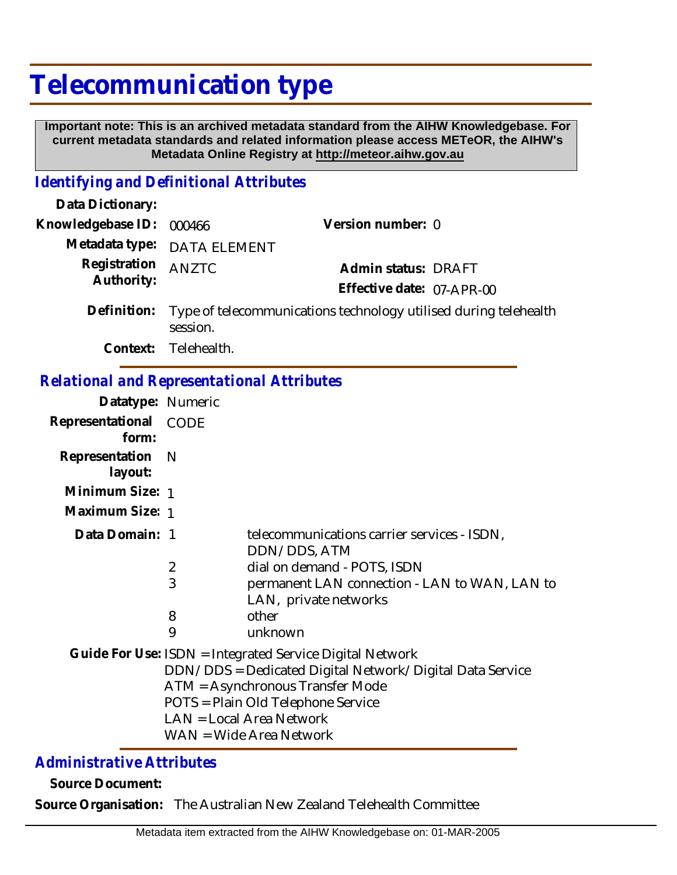## **Telecommunication type**

 **Important note: This is an archived metadata standard from the AIHW Knowledgebase. For current metadata standards and related information please access METeOR, the AIHW's Metadata Online Registry at http://meteor.aihw.gov.au**

## *Identifying and Definitional Attributes*

| Data Dictionary:                                  |                                                                              |                                                                                                                                                                                                                                                       |
|---------------------------------------------------|------------------------------------------------------------------------------|-------------------------------------------------------------------------------------------------------------------------------------------------------------------------------------------------------------------------------------------------------|
| Knowledgebase ID:                                 | 000466                                                                       | Version number: 0                                                                                                                                                                                                                                     |
| Metadata type:                                    | <b>DATA ELEMENT</b>                                                          |                                                                                                                                                                                                                                                       |
| Registration<br>Authority:                        | <b>ANZTC</b>                                                                 | Admin status: DRAFT<br>Effective date: 07-APR-00                                                                                                                                                                                                      |
| Definition:                                       | Type of telecommunications technology utilised during telehealth<br>session. |                                                                                                                                                                                                                                                       |
| Context:                                          | Telehealth.                                                                  |                                                                                                                                                                                                                                                       |
| <b>Relational and Representational Attributes</b> |                                                                              |                                                                                                                                                                                                                                                       |
| Datatype: Numeric                                 |                                                                              |                                                                                                                                                                                                                                                       |
| Representational<br>form:                         | <b>CODE</b>                                                                  |                                                                                                                                                                                                                                                       |
| Representation<br>layout:                         | $\mathsf{N}$                                                                 |                                                                                                                                                                                                                                                       |
| Minimum Size: 1                                   |                                                                              |                                                                                                                                                                                                                                                       |
| Maximum Size: 1                                   |                                                                              |                                                                                                                                                                                                                                                       |
| Data Domain: 1                                    |                                                                              | telecommunications carrier services - ISDN,<br>DDN/DDS, ATM                                                                                                                                                                                           |
|                                                   | $\overline{2}$                                                               | dial on demand - POTS, ISDN                                                                                                                                                                                                                           |
|                                                   | 3                                                                            | permanent LAN connection - LAN to WAN, LAN to<br>LAN, private networks                                                                                                                                                                                |
|                                                   | 8                                                                            | other                                                                                                                                                                                                                                                 |
|                                                   | 9                                                                            | unknown                                                                                                                                                                                                                                               |
|                                                   |                                                                              | Guide For Use: ISDN = Integrated Service Digital Network<br>DDN/DDS = Dedicated Digital Network/Digital Data Service<br>ATM = Asynchronous Transfer Mode<br>POTS = Plain Old Telephone Service<br>LAN = Local Area Network<br>WAN = Wide Area Network |

## *Administrative Attributes*

**Source Document:**

**Source Organisation:** The Australian New Zealand Telehealth Committee